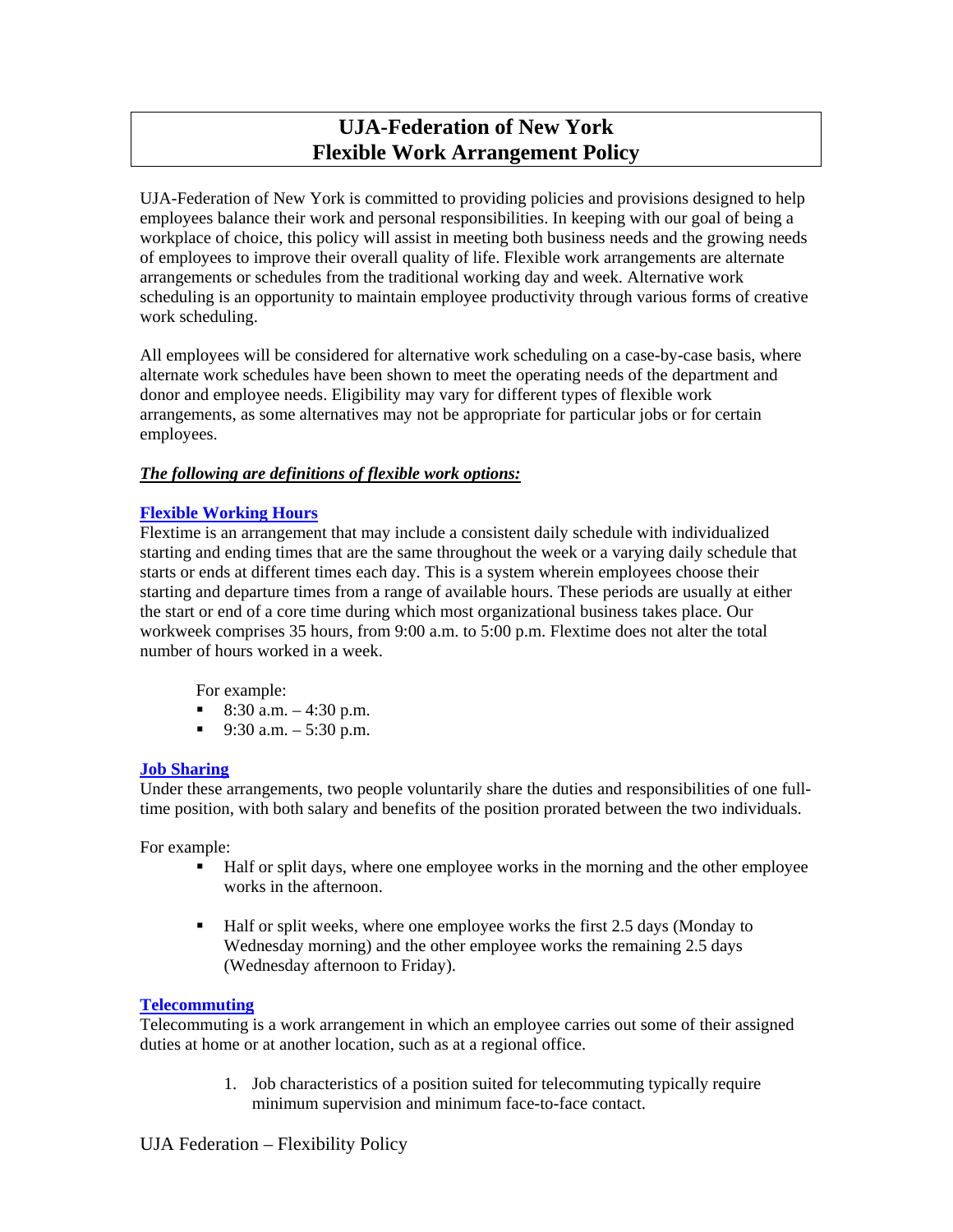# **UJA-Federation of New York Flexible Work Arrangement Policy**

UJA-Federation of New York is committed to providing policies and provisions designed to help employees balance their work and personal responsibilities. In keeping with our goal of being a workplace of choice, this policy will assist in meeting both business needs and the growing needs of employees to improve their overall quality of life. Flexible work arrangements are alternate arrangements or schedules from the traditional working day and week. Alternative work scheduling is an opportunity to maintain employee productivity through various forms of creative work scheduling.

All employees will be considered for alternative work scheduling on a case-by-case basis, where alternate work schedules have been shown to meet the operating needs of the department and donor and employee needs. Eligibility may vary for different types of flexible work arrangements, as some alternatives may not be appropriate for particular jobs or for certain employees.

## *The following are definitions of flexible work options:*

## **Flexible Working Hours**

Flextime is an arrangement that may include a consistent daily schedule with individualized starting and ending times that are the same throughout the week or a varying daily schedule that starts or ends at different times each day. This is a system wherein employees choose their starting and departure times from a range of available hours. These periods are usually at either the start or end of a core time during which most organizational business takes place. Our workweek comprises 35 hours, from 9:00 a.m. to 5:00 p.m. Flextime does not alter the total number of hours worked in a week.

For example:

- 8:30 a.m.  $-4:30$  p.m.
- 9:30 a.m.  $-5:30$  p.m.

#### **Job Sharing**

Under these arrangements, two people voluntarily share the duties and responsibilities of one fulltime position, with both salary and benefits of the position prorated between the two individuals.

For example:

- Half or split days, where one employee works in the morning and the other employee works in the afternoon.
- Half or split weeks, where one employee works the first 2.5 days (Monday to Wednesday morning) and the other employee works the remaining 2.5 days (Wednesday afternoon to Friday).

#### **Telecommuting**

Telecommuting is a work arrangement in which an employee carries out some of their assigned duties at home or at another location, such as at a regional office.

> 1. Job characteristics of a position suited for telecommuting typically require minimum supervision and minimum face-to-face contact.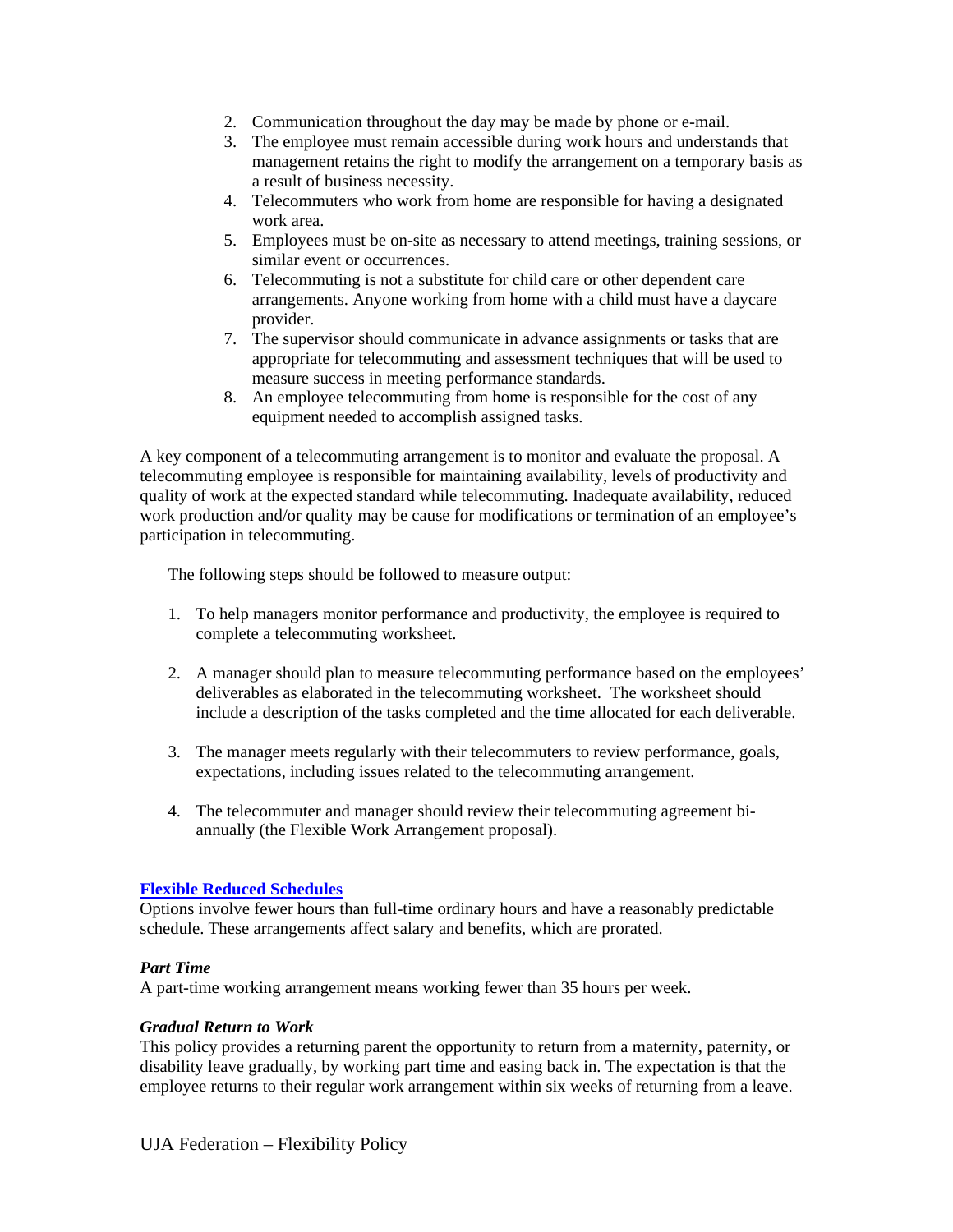- 2. Communication throughout the day may be made by phone or e-mail.
- 3. The employee must remain accessible during work hours and understands that management retains the right to modify the arrangement on a temporary basis as a result of business necessity.
- 4. Telecommuters who work from home are responsible for having a designated work area.
- 5. Employees must be on-site as necessary to attend meetings, training sessions, or similar event or occurrences.
- 6. Telecommuting is not a substitute for child care or other dependent care arrangements. Anyone working from home with a child must have a daycare provider.
- 7. The supervisor should communicate in advance assignments or tasks that are appropriate for telecommuting and assessment techniques that will be used to measure success in meeting performance standards.
- 8. An employee telecommuting from home is responsible for the cost of any equipment needed to accomplish assigned tasks.

A key component of a telecommuting arrangement is to monitor and evaluate the proposal. A telecommuting employee is responsible for maintaining availability, levels of productivity and quality of work at the expected standard while telecommuting. Inadequate availability, reduced work production and/or quality may be cause for modifications or termination of an employee's participation in telecommuting.

The following steps should be followed to measure output:

- 1. To help managers monitor performance and productivity, the employee is required to complete a telecommuting worksheet.
- 2. A manager should plan to measure telecommuting performance based on the employees' deliverables as elaborated in the telecommuting worksheet. The worksheet should include a description of the tasks completed and the time allocated for each deliverable.
- 3. The manager meets regularly with their telecommuters to review performance, goals, expectations, including issues related to the telecommuting arrangement.
- 4. The telecommuter and manager should review their telecommuting agreement biannually (the Flexible Work Arrangement proposal).

# **Flexible Reduced Schedules**

Options involve fewer hours than full-time ordinary hours and have a reasonably predictable schedule. These arrangements affect salary and benefits, which are prorated.

#### *Part Time*

A part-time working arrangement means working fewer than 35 hours per week.

#### *Gradual Return to Work*

This policy provides a returning parent the opportunity to return from a maternity, paternity, or disability leave gradually, by working part time and easing back in. The expectation is that the employee returns to their regular work arrangement within six weeks of returning from a leave.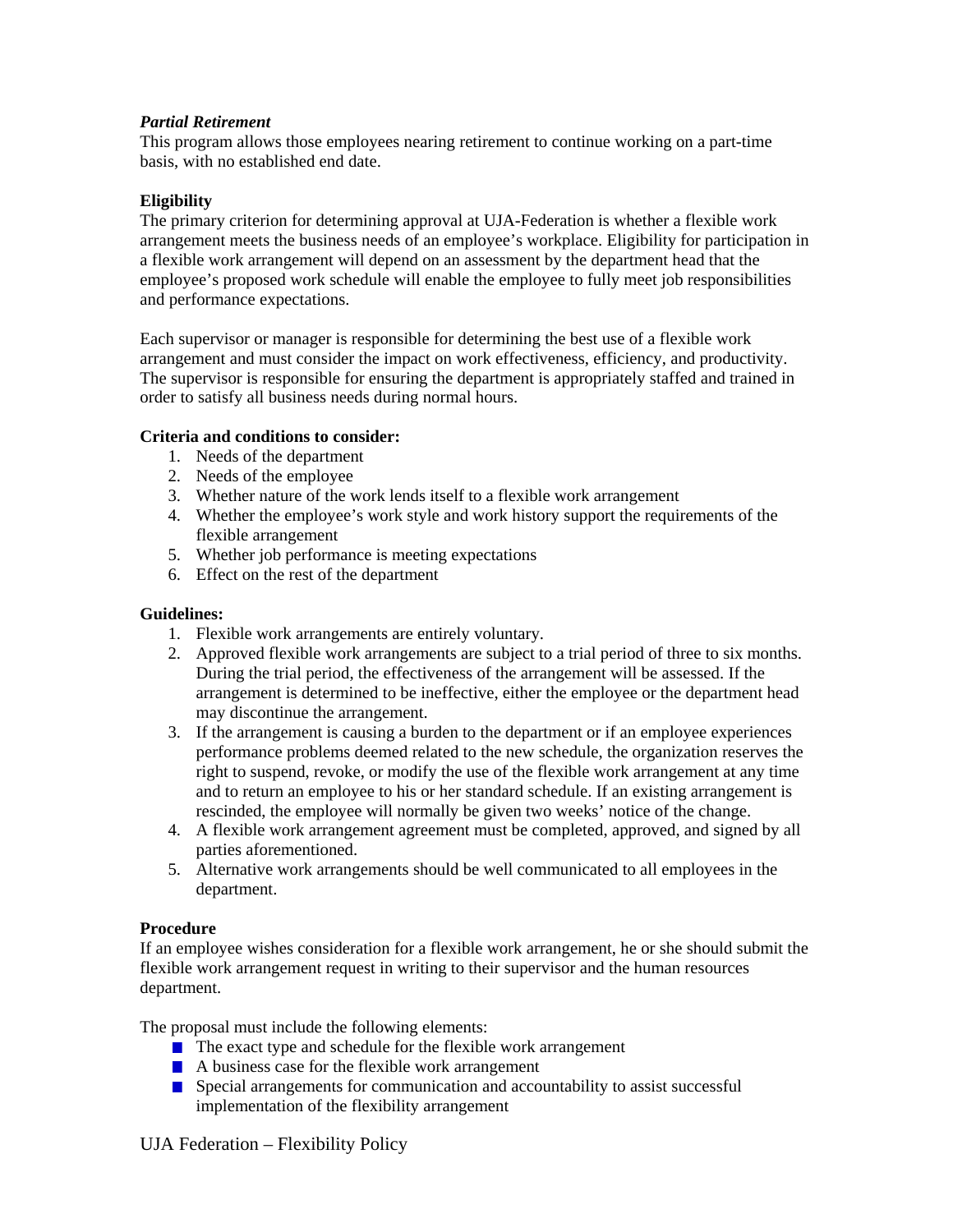## *Partial Retirement*

This program allows those employees nearing retirement to continue working on a part-time basis, with no established end date.

#### **Eligibility**

The primary criterion for determining approval at UJA-Federation is whether a flexible work arrangement meets the business needs of an employee's workplace. Eligibility for participation in a flexible work arrangement will depend on an assessment by the department head that the employee's proposed work schedule will enable the employee to fully meet job responsibilities and performance expectations.

Each supervisor or manager is responsible for determining the best use of a flexible work arrangement and must consider the impact on work effectiveness, efficiency, and productivity. The supervisor is responsible for ensuring the department is appropriately staffed and trained in order to satisfy all business needs during normal hours.

## **Criteria and conditions to consider:**

- 1. Needs of the department
- 2. Needs of the employee
- 3. Whether nature of the work lends itself to a flexible work arrangement
- 4. Whether the employee's work style and work history support the requirements of the flexible arrangement
- 5. Whether job performance is meeting expectations
- 6. Effect on the rest of the department

#### **Guidelines:**

- 1. Flexible work arrangements are entirely voluntary.
- 2. Approved flexible work arrangements are subject to a trial period of three to six months. During the trial period, the effectiveness of the arrangement will be assessed. If the arrangement is determined to be ineffective, either the employee or the department head may discontinue the arrangement.
- 3. If the arrangement is causing a burden to the department or if an employee experiences performance problems deemed related to the new schedule, the organization reserves the right to suspend, revoke, or modify the use of the flexible work arrangement at any time and to return an employee to his or her standard schedule. If an existing arrangement is rescinded, the employee will normally be given two weeks' notice of the change.
- 4. A flexible work arrangement agreement must be completed, approved, and signed by all parties aforementioned.
- 5. Alternative work arrangements should be well communicated to all employees in the department.

#### **Procedure**

If an employee wishes consideration for a flexible work arrangement, he or she should submit the flexible work arrangement request in writing to their supervisor and the human resources department.

The proposal must include the following elements:

- $\blacksquare$  The exact type and schedule for the flexible work arrangement
- $\blacksquare$  A business case for the flexible work arrangement
- Special arrangements for communication and accountability to assist successful implementation of the flexibility arrangement

# UJA Federation – Flexibility Policy